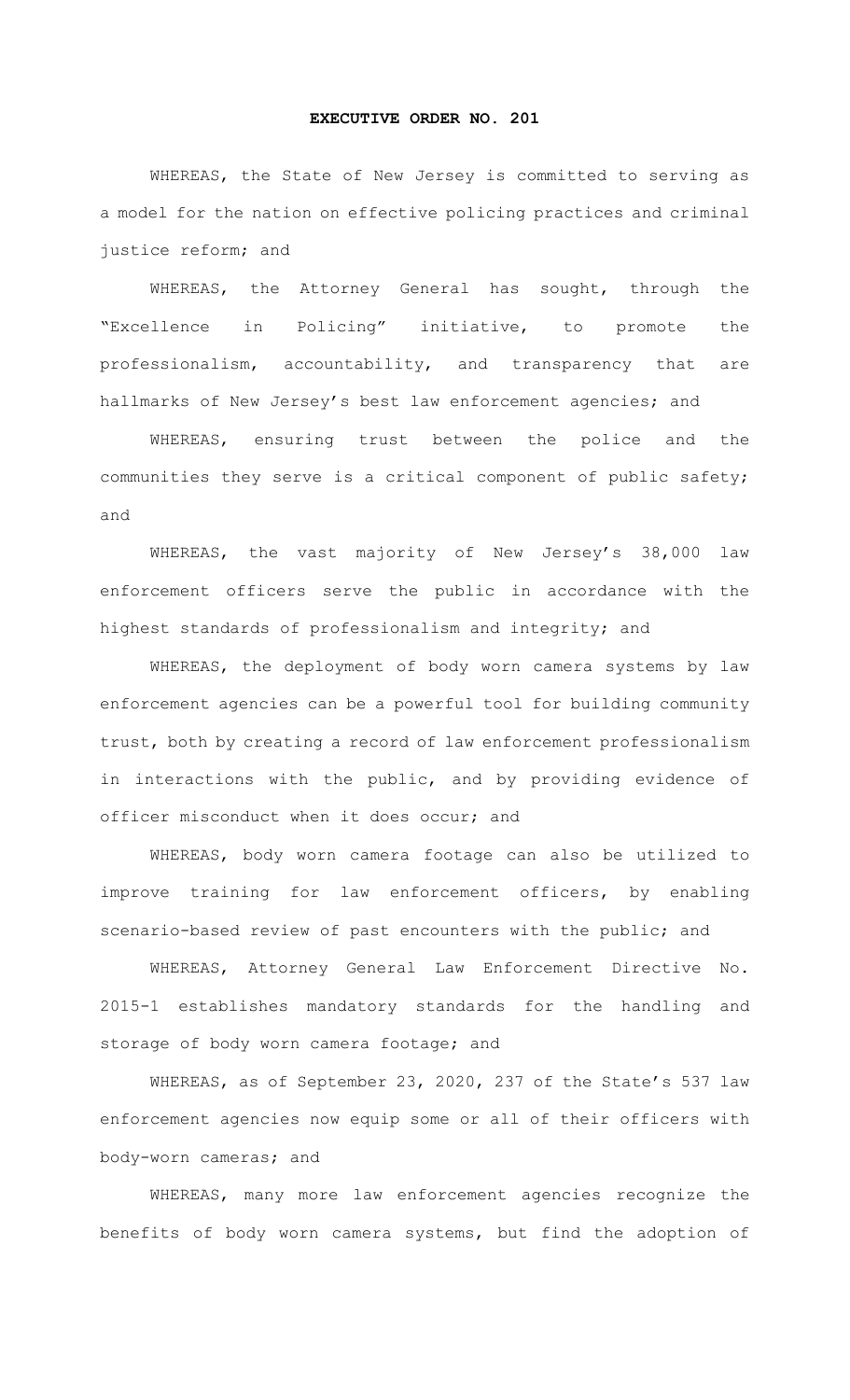## **EXECUTIVE ORDER NO. 201**

WHEREAS, the State of New Jersey is committed to serving as a model for the nation on effective policing practices and criminal justice reform; and

WHEREAS, the Attorney General has sought, through the "Excellence in Policing" initiative, to promote the professionalism, accountability, and transparency that are hallmarks of New Jersey's best law enforcement agencies; and

WHEREAS, ensuring trust between the police and the communities they serve is a critical component of public safety; and

WHEREAS, the vast majority of New Jersey's 38,000 law enforcement officers serve the public in accordance with the highest standards of professionalism and integrity; and

WHEREAS, the deployment of body worn camera systems by law enforcement agencies can be a powerful tool for building community trust, both by creating a record of law enforcement professionalism in interactions with the public, and by providing evidence of officer misconduct when it does occur; and

WHEREAS, body worn camera footage can also be utilized to improve training for law enforcement officers, by enabling scenario-based review of past encounters with the public; and

WHEREAS, Attorney General Law Enforcement Directive No. 2015-1 establishes mandatory standards for the handling and storage of body worn camera footage; and

WHEREAS, as of September 23, 2020, 237 of the State's 537 law enforcement agencies now equip some or all of their officers with body-worn cameras; and

WHEREAS, many more law enforcement agencies recognize the benefits of body worn camera systems, but find the adoption of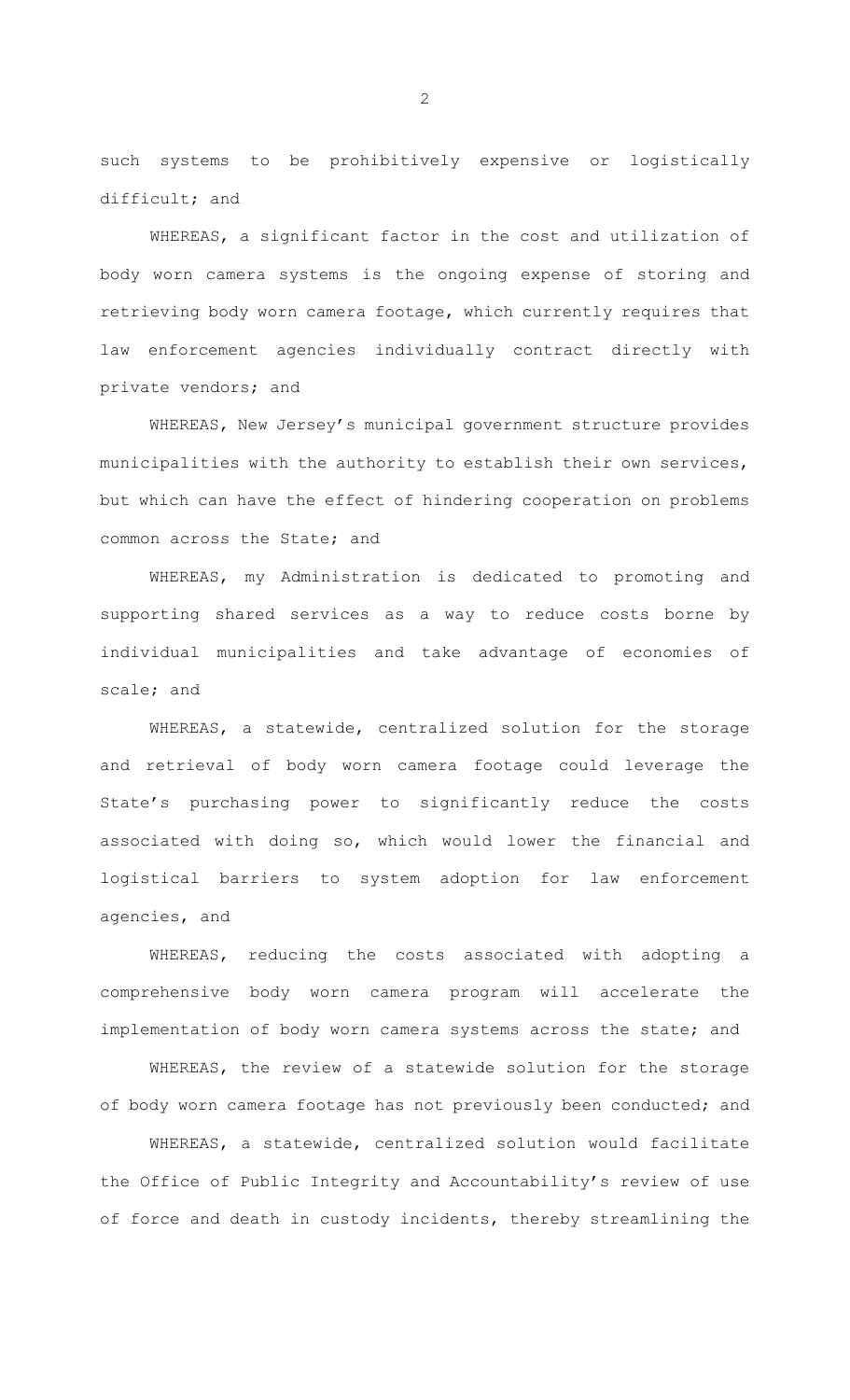such systems to be prohibitively expensive or logistically difficult; and

WHEREAS, a significant factor in the cost and utilization of body worn camera systems is the ongoing expense of storing and retrieving body worn camera footage, which currently requires that law enforcement agencies individually contract directly with private vendors; and

WHEREAS, New Jersey's municipal government structure provides municipalities with the authority to establish their own services, but which can have the effect of hindering cooperation on problems common across the State; and

WHEREAS, my Administration is dedicated to promoting and supporting shared services as a way to reduce costs borne by individual municipalities and take advantage of economies of scale; and

WHEREAS, a statewide, centralized solution for the storage and retrieval of body worn camera footage could leverage the State's purchasing power to significantly reduce the costs associated with doing so, which would lower the financial and logistical barriers to system adoption for law enforcement agencies, and

WHEREAS, reducing the costs associated with adopting a comprehensive body worn camera program will accelerate the implementation of body worn camera systems across the state; and

WHEREAS, the review of a statewide solution for the storage of body worn camera footage has not previously been conducted; and

WHEREAS, a statewide, centralized solution would facilitate the Office of Public Integrity and Accountability's review of use of force and death in custody incidents, thereby streamlining the

2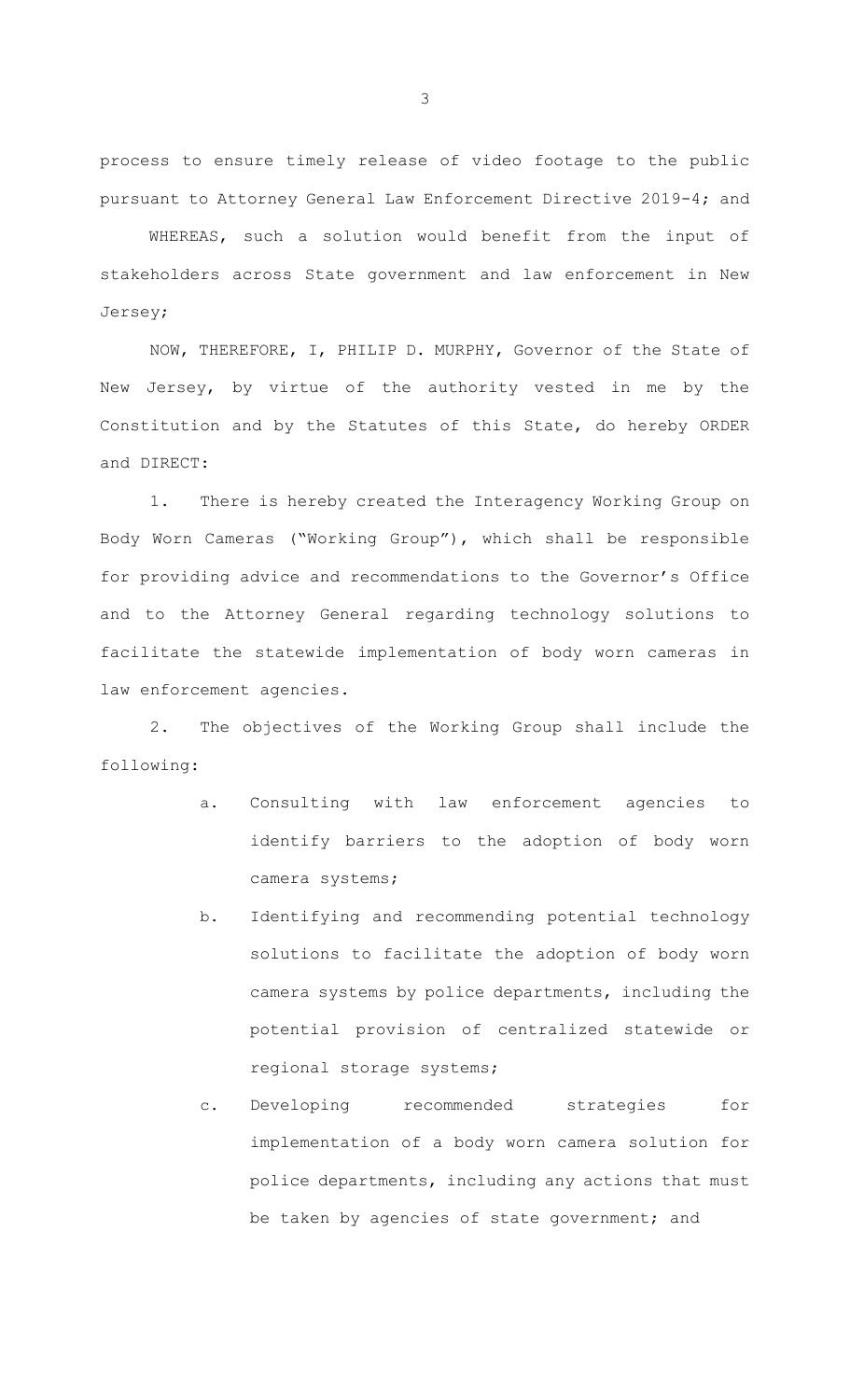process to ensure timely release of video footage to the public pursuant to Attorney General Law Enforcement Directive 2019-4; and

WHEREAS, such a solution would benefit from the input of stakeholders across State government and law enforcement in New Jersey;

NOW, THEREFORE, I, PHILIP D. MURPHY, Governor of the State of New Jersey, by virtue of the authority vested in me by the Constitution and by the Statutes of this State, do hereby ORDER and DIRECT:

1. There is hereby created the Interagency Working Group on Body Worn Cameras ("Working Group"), which shall be responsible for providing advice and recommendations to the Governor's Office and to the Attorney General regarding technology solutions to facilitate the statewide implementation of body worn cameras in law enforcement agencies.

2. The objectives of the Working Group shall include the following:

- a. Consulting with law enforcement agencies to identify barriers to the adoption of body worn camera systems;
- b. Identifying and recommending potential technology solutions to facilitate the adoption of body worn camera systems by police departments, including the potential provision of centralized statewide or regional storage systems;
- c. Developing recommended strategies for implementation of a body worn camera solution for police departments, including any actions that must be taken by agencies of state government; and

3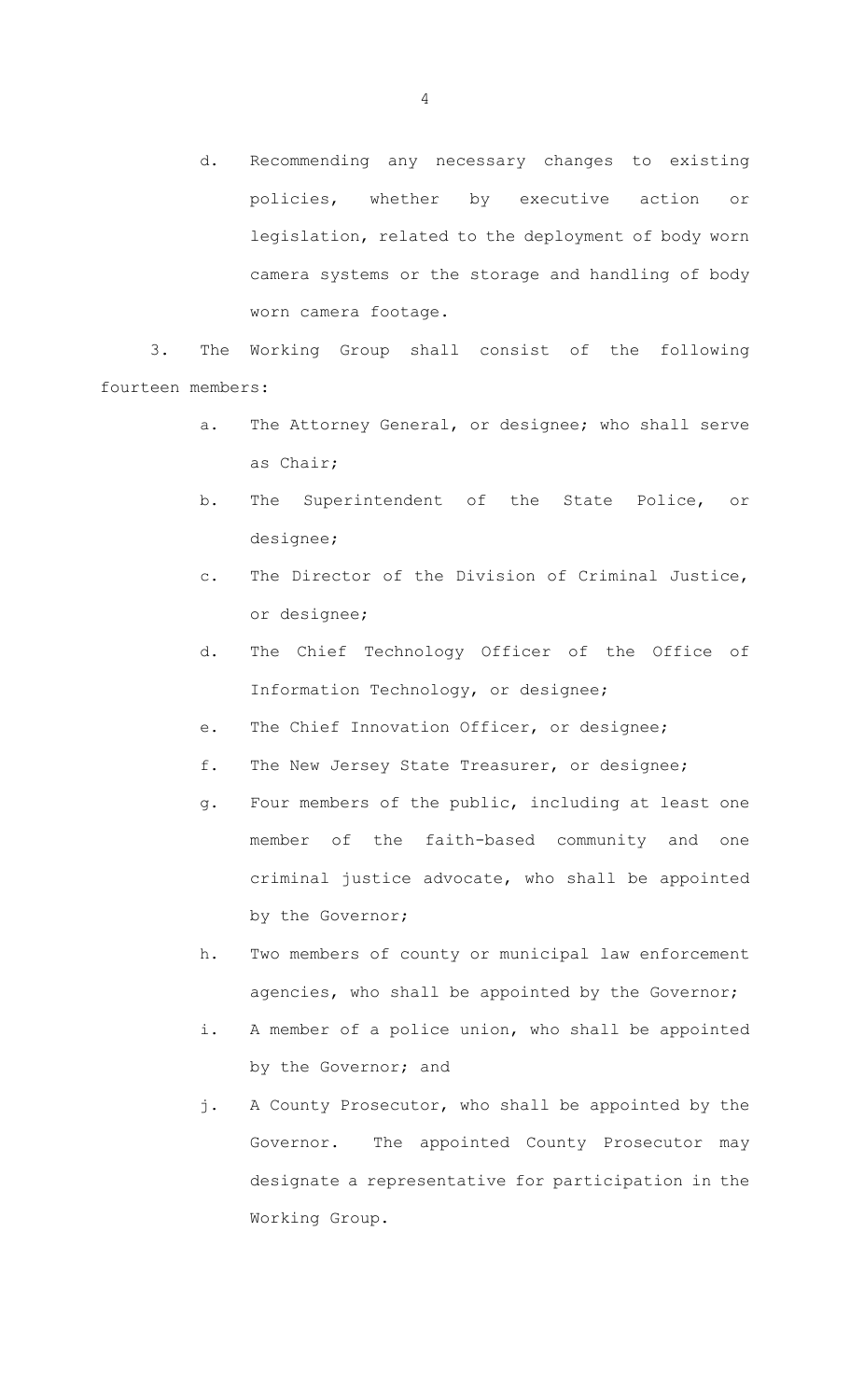d. Recommending any necessary changes to existing policies, whether by executive action or legislation, related to the deployment of body worn camera systems or the storage and handling of body worn camera footage.

3. The Working Group shall consist of the following fourteen members:

- a. The Attorney General, or designee; who shall serve as Chair;
- b. The Superintendent of the State Police, or designee;
- c. The Director of the Division of Criminal Justice, or designee;
- d. The Chief Technology Officer of the Office of Information Technology, or designee;
- e. The Chief Innovation Officer, or designee;
- f. The New Jersey State Treasurer, or designee;
- g. Four members of the public, including at least one member of the faith-based community and one criminal justice advocate, who shall be appointed by the Governor;
- h. Two members of county or municipal law enforcement agencies, who shall be appointed by the Governor;
- i. A member of a police union, who shall be appointed by the Governor; and
- j. A County Prosecutor, who shall be appointed by the Governor. The appointed County Prosecutor may designate a representative for participation in the Working Group.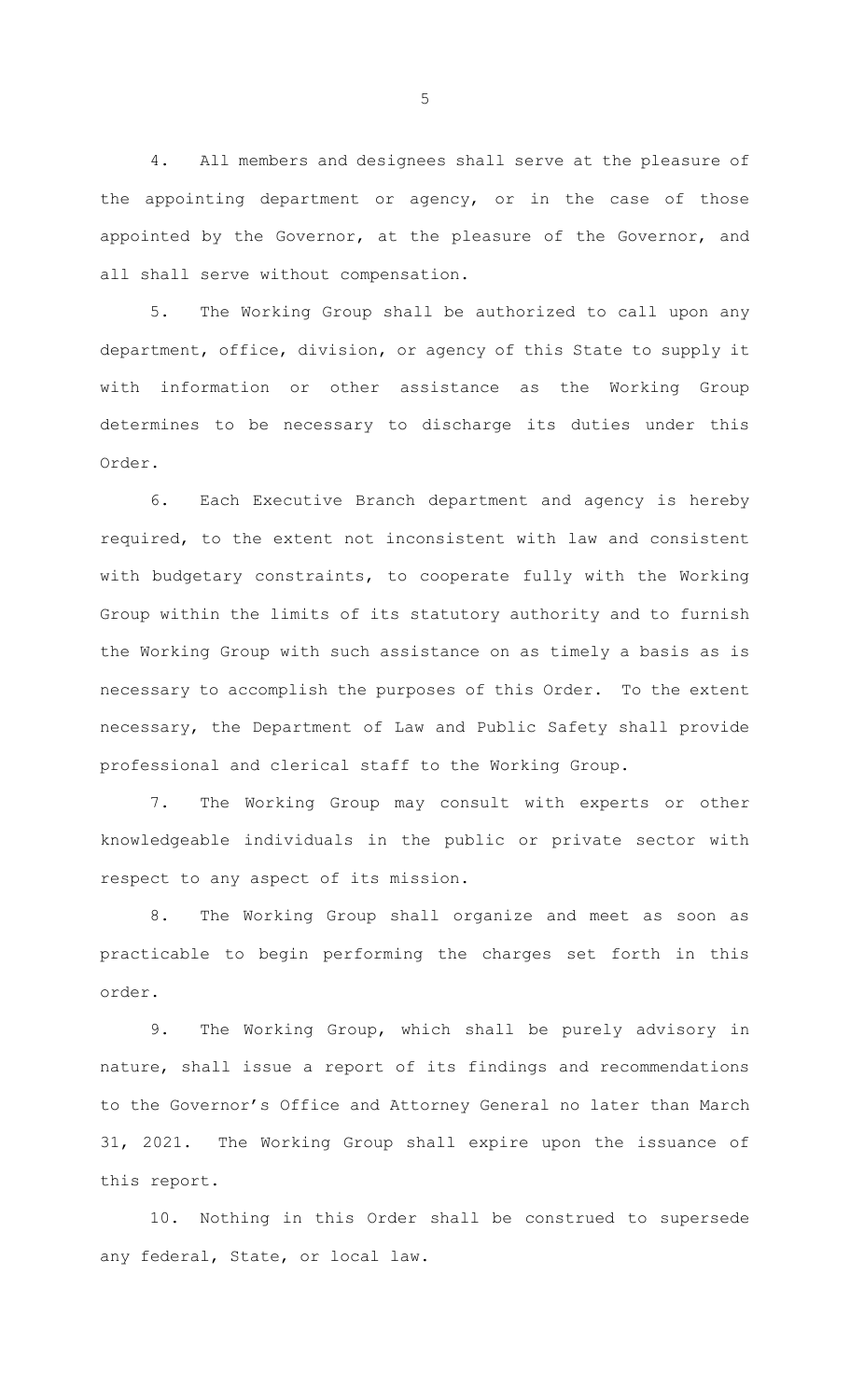4. All members and designees shall serve at the pleasure of the appointing department or agency, or in the case of those appointed by the Governor, at the pleasure of the Governor, and all shall serve without compensation.

5. The Working Group shall be authorized to call upon any department, office, division, or agency of this State to supply it with information or other assistance as the Working Group determines to be necessary to discharge its duties under this Order.

6. Each Executive Branch department and agency is hereby required, to the extent not inconsistent with law and consistent with budgetary constraints, to cooperate fully with the Working Group within the limits of its statutory authority and to furnish the Working Group with such assistance on as timely a basis as is necessary to accomplish the purposes of this Order. To the extent necessary, the Department of Law and Public Safety shall provide professional and clerical staff to the Working Group.

7. The Working Group may consult with experts or other knowledgeable individuals in the public or private sector with respect to any aspect of its mission.

8. The Working Group shall organize and meet as soon as practicable to begin performing the charges set forth in this order.

9. The Working Group, which shall be purely advisory in nature, shall issue a report of its findings and recommendations to the Governor's Office and Attorney General no later than March 31, 2021. The Working Group shall expire upon the issuance of this report.

10. Nothing in this Order shall be construed to supersede any federal, State, or local law.

5